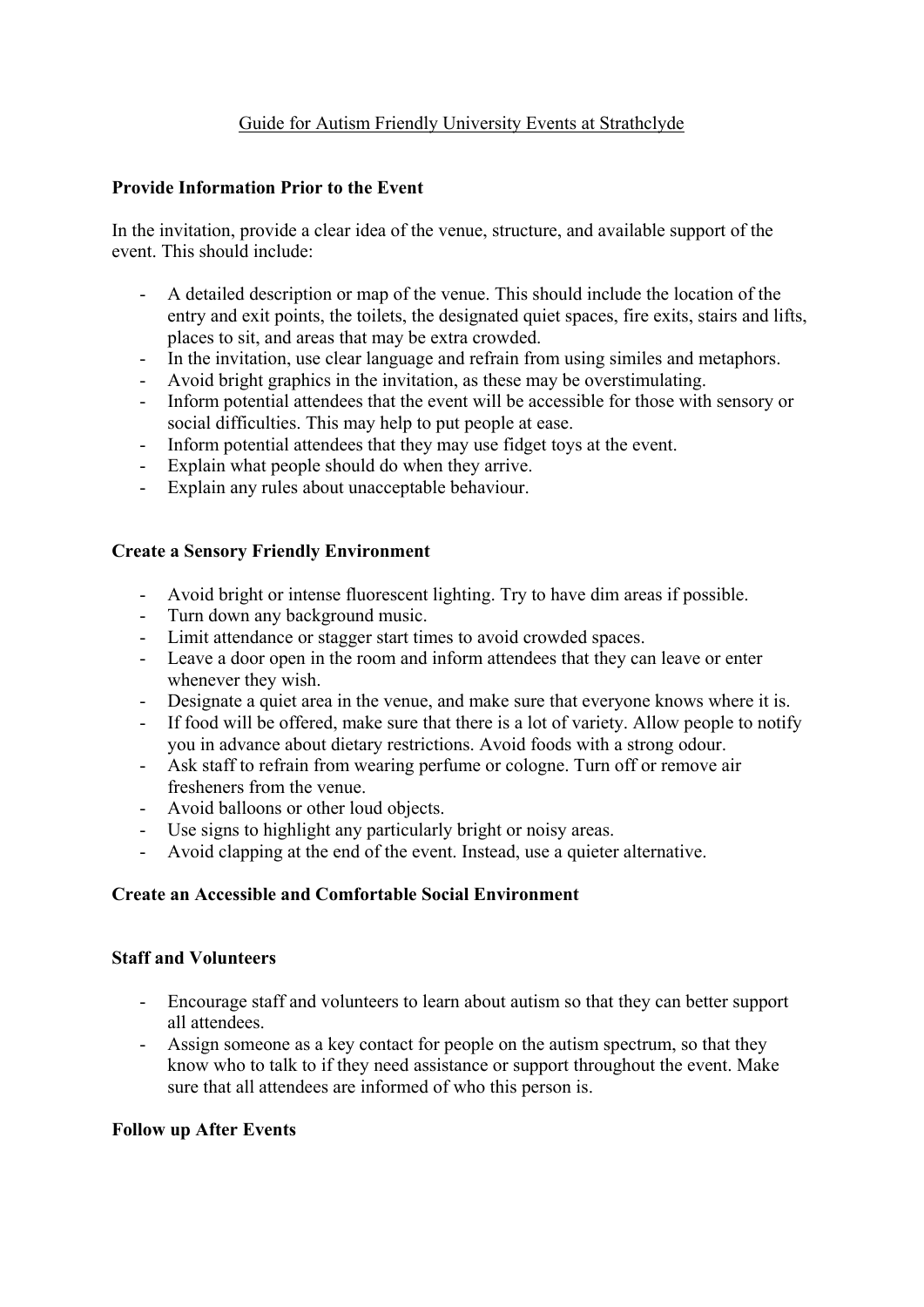# Guide for Autism Friendly University Events at Strathclyde

### **Provide Information Prior to the Event**

In the invitation, provide a clear idea of the venue, structure, and available support of the event. This should include:

- A detailed description or map of the venue. This should include the location of the entry and exit points, the toilets, the designated quiet spaces, fire exits, stairs and lifts, places to sit, and areas that may be extra crowded.
- In the invitation, use clear language and refrain from using similes and metaphors.
- Avoid bright graphics in the invitation, as these may be overstimulating.
- Inform potential attendees that the event will be accessible for those with sensory or social difficulties. This may help to put people at ease.
- Inform potential attendees that they may use fidget toys at the event.
- Explain what people should do when they arrive.
- Explain any rules about unacceptable behaviour.

## **Create a Sensory Friendly Environment**

- Avoid bright or intense fluorescent lighting. Try to have dim areas if possible.
- Turn down any background music.
- Limit attendance or stagger start times to avoid crowded spaces.
- Leave a door open in the room and inform attendees that they can leave or enter whenever they wish.
- Designate a quiet area in the venue, and make sure that everyone knows where it is.
- If food will be offered, make sure that there is a lot of variety. Allow people to notify you in advance about dietary restrictions. Avoid foods with a strong odour.
- Ask staff to refrain from wearing perfume or cologne. Turn off or remove air fresheners from the venue.
- Avoid balloons or other loud objects.
- Use signs to highlight any particularly bright or noisy areas.
- Avoid clapping at the end of the event. Instead, use a quieter alternative.

#### **Create an Accessible and Comfortable Social Environment**

#### **Staff and Volunteers**

- Encourage staff and volunteers to learn about autism so that they can better support all attendees.
- Assign someone as a key contact for people on the autism spectrum, so that they know who to talk to if they need assistance or support throughout the event. Make sure that all attendees are informed of who this person is.

#### **Follow up After Events**